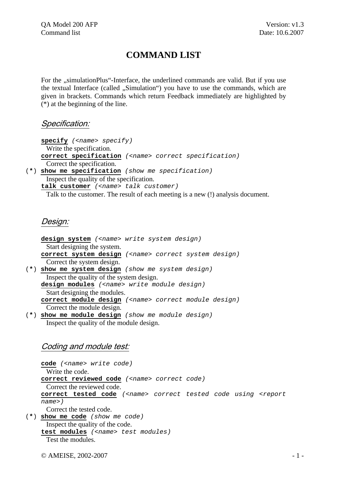# **COMMAND LIST**

For the "simulationPlus"-Interface, the underlined commands are valid. But if you use the textual Interface (called ., Simulation") you have to use the commands, which are given in brackets. Commands which return Feedback immediately are highlighted by (\*) at the beginning of the line.

#### Specification:

**specify** *(<name> specify)* Write the specification. **correct specification** *(<name> correct specification)* Correct the specification. (**\***) **show me specification** *(show me specification)* Inspect the quality of the specification. **talk customer** *(<name> talk customer)*

Talk to the customer. The result of each meeting is a new (!) analysis document.

#### Design:

**design system** *(<name> write system design)* Start designing the system. **correct system design** *(<name> correct system design)* Correct the system design. (**\***) **show me system design** *(show me system design)* Inspect the quality of the system design. **design modules** *(<name> write module design)* Start designing the modules. **correct module design** *(<name> correct module design)* Correct the module design. (**\***) **show me module design** *(show me module design)* 

Inspect the quality of the module design.

# Coding and module test:

**code** *(<name> write code)* Write the code. **correct reviewed code** *(<name> correct code)* Correct the reviewed code. **correct tested code** *(<name> correct tested code using <report name>)*  Correct the tested code. (**\***) **show me code** *(show me code)*  Inspect the quality of the code.

**test modules** *(<name> test modules)* Test the modules.

 $\odot$  AMEISE, 2002-2007  $-1$  -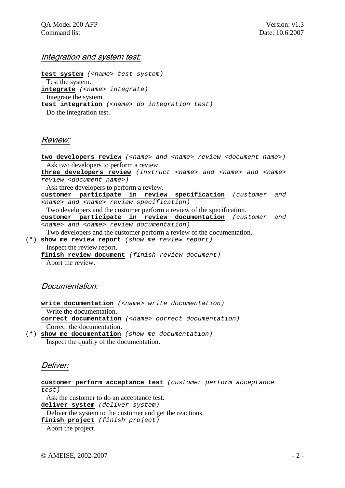#### Integration and system test:

**test system** *(<name> test system)* Test the system. **integrate** *(<name> integrate)* Integrate the system. **test integration** *(<name> do integration test)* Do the integration test.

# Review:

two developers review (<name> and <name> review <document name>) Ask two developers to perform a review. **three developers review** *(instruct <name> and <name> and <name> review <document name>)*  Ask three developers to perform a review. **customer participate in review specification** *(customer and <name> and <name> review specification)*  Two developers and the customer perform a review of the specification. **customer participate in review documentation** *(customer and <name> and <name> review documentation)*  Two developers and the customer perform a review of the documentation. (**\***) **show me review report** *(show me review report)* Inspect the review report. **finish review document** *(finish review document)*  Abort the review.

# Documentation:

**write documentation** *(<name> write documentation)* Write the documentation. **correct documentation** *(<name> correct documentation)*  Correct the documentation. (**\***) **show me documentation** *(show me documentation)*

Inspect the quality of the documentation.

# Deliver:

**customer perform acceptance test** *(customer perform acceptance test)*

 Ask the customer to do an acceptance test. **deliver system** *(deliver system)* Deliver the system to the customer and get the reactions.

**finish project** *(finish project)*

Abort the project.